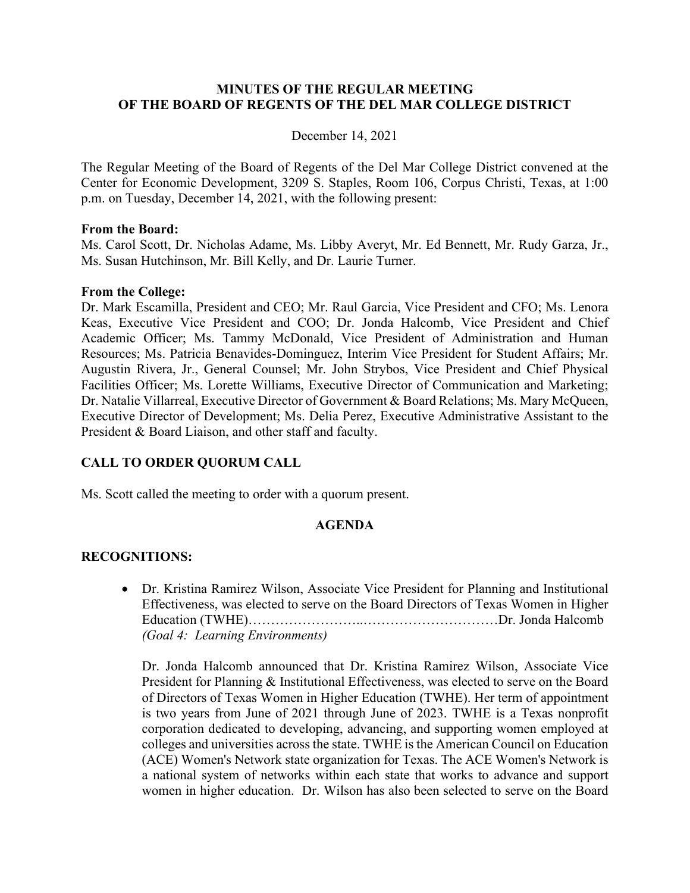### **MINUTES OF THE REGULAR MEETING OF THE BOARD OF REGENTS OF THE DEL MAR COLLEGE DISTRICT**

### December 14, 2021

The Regular Meeting of the Board of Regents of the Del Mar College District convened at the Center for Economic Development, 3209 S. Staples, Room 106, Corpus Christi, Texas, at 1:00 p.m. on Tuesday, December 14, 2021, with the following present:

### **From the Board:**

Ms. Carol Scott, Dr. Nicholas Adame, Ms. Libby Averyt, Mr. Ed Bennett, Mr. Rudy Garza, Jr., Ms. Susan Hutchinson, Mr. Bill Kelly, and Dr. Laurie Turner.

### **From the College:**

Dr. Mark Escamilla, President and CEO; Mr. Raul Garcia, Vice President and CFO; Ms. Lenora Keas, Executive Vice President and COO; Dr. Jonda Halcomb, Vice President and Chief Academic Officer; Ms. Tammy McDonald, Vice President of Administration and Human Resources; Ms. Patricia Benavides-Dominguez, Interim Vice President for Student Affairs; Mr. Augustin Rivera, Jr., General Counsel; Mr. John Strybos, Vice President and Chief Physical Facilities Officer; Ms. Lorette Williams, Executive Director of Communication and Marketing; Dr. Natalie Villarreal, Executive Director of Government & Board Relations; Ms. Mary McQueen, Executive Director of Development; Ms. Delia Perez, Executive Administrative Assistant to the President & Board Liaison, and other staff and faculty.

## **CALL TO ORDER QUORUM CALL**

Ms. Scott called the meeting to order with a quorum present.

### **AGENDA**

### **RECOGNITIONS:**

• Dr. Kristina Ramirez Wilson, Associate Vice President for Planning and Institutional Effectiveness, was elected to serve on the Board Directors of Texas Women in Higher Education (TWHE)……………………..…………………………Dr. Jonda Halcomb *(Goal 4: Learning Environments)*

Dr. Jonda Halcomb announced that Dr. Kristina Ramirez Wilson, Associate Vice President for Planning & Institutional Effectiveness, was elected to serve on the Board of Directors of Texas Women in Higher Education (TWHE). Her term of appointment is two years from June of 2021 through June of 2023. TWHE is a Texas nonprofit corporation dedicated to developing, advancing, and supporting women employed at colleges and universities across the state. TWHE is the American Council on Education (ACE) Women's Network state organization for Texas. The ACE Women's Network is a national system of networks within each state that works to advance and support women in higher education. Dr. Wilson has also been selected to serve on the Board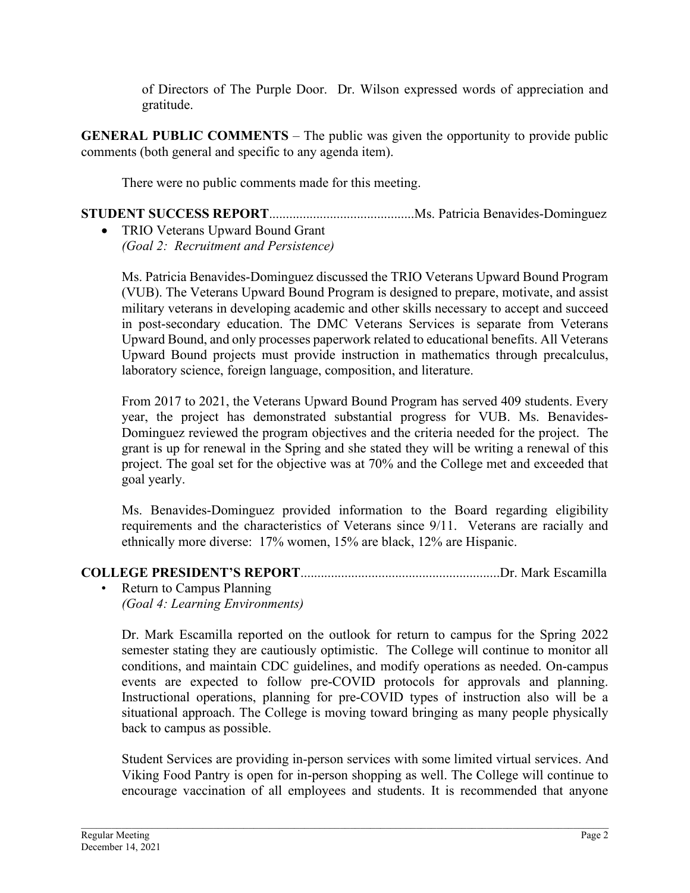of Directors of The Purple Door. Dr. Wilson expressed words of appreciation and gratitude.

**GENERAL PUBLIC COMMENTS** – The public was given the opportunity to provide public comments (both general and specific to any agenda item).

There were no public comments made for this meeting.

**STUDENT SUCCESS REPORT**...........................................Ms. Patricia Benavides-Dominguez

• TRIO Veterans Upward Bound Grant *(Goal 2: Recruitment and Persistence)*

Ms. Patricia Benavides-Dominguez discussed the TRIO Veterans Upward Bound Program (VUB). The Veterans Upward Bound Program is designed to prepare, motivate, and assist military veterans in developing academic and other skills necessary to accept and succeed in post-secondary education. The DMC Veterans Services is separate from Veterans Upward Bound, and only processes paperwork related to educational benefits. All Veterans Upward Bound projects must provide instruction in mathematics through precalculus, laboratory science, foreign language, composition, and literature.

From 2017 to 2021, the Veterans Upward Bound Program has served 409 students. Every year, the project has demonstrated substantial progress for VUB. Ms. Benavides-Dominguez reviewed the program objectives and the criteria needed for the project. The grant is up for renewal in the Spring and she stated they will be writing a renewal of this project. The goal set for the objective was at 70% and the College met and exceeded that goal yearly.

Ms. Benavides-Dominguez provided information to the Board regarding eligibility requirements and the characteristics of Veterans since 9/11. Veterans are racially and ethnically more diverse: 17% women, 15% are black, 12% are Hispanic.

# **COLLEGE PRESIDENT'S REPORT**...........................................................Dr. Mark Escamilla

• Return to Campus Planning *(Goal 4: Learning Environments)*

Dr. Mark Escamilla reported on the outlook for return to campus for the Spring 2022 semester stating they are cautiously optimistic. The College will continue to monitor all conditions, and maintain CDC guidelines, and modify operations as needed. On-campus events are expected to follow pre-COVID protocols for approvals and planning. Instructional operations, planning for pre-COVID types of instruction also will be a situational approach. The College is moving toward bringing as many people physically back to campus as possible.

Student Services are providing in-person services with some limited virtual services. And Viking Food Pantry is open for in-person shopping as well. The College will continue to encourage vaccination of all employees and students. It is recommended that anyone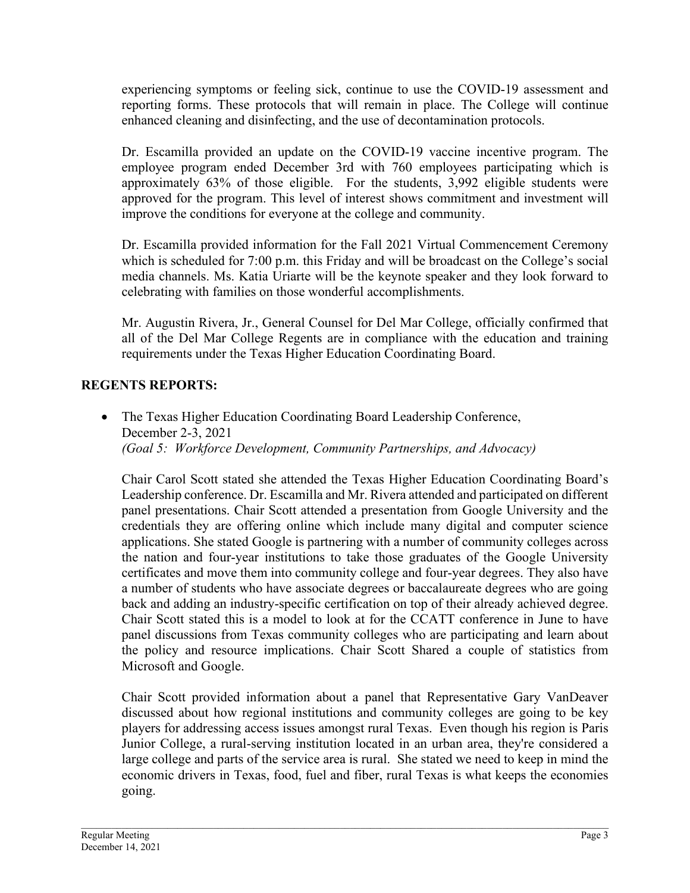experiencing symptoms or feeling sick, continue to use the COVID-19 assessment and reporting forms. These protocols that will remain in place. The College will continue enhanced cleaning and disinfecting, and the use of decontamination protocols.

Dr. Escamilla provided an update on the COVID-19 vaccine incentive program. The employee program ended December 3rd with 760 employees participating which is approximately 63% of those eligible. For the students, 3,992 eligible students were approved for the program. This level of interest shows commitment and investment will improve the conditions for everyone at the college and community.

Dr. Escamilla provided information for the Fall 2021 Virtual Commencement Ceremony which is scheduled for 7:00 p.m. this Friday and will be broadcast on the College's social media channels. Ms. Katia Uriarte will be the keynote speaker and they look forward to celebrating with families on those wonderful accomplishments.

Mr. Augustin Rivera, Jr., General Counsel for Del Mar College, officially confirmed that all of the Del Mar College Regents are in compliance with the education and training requirements under the Texas Higher Education Coordinating Board.

# **REGENTS REPORTS:**

• The Texas Higher Education Coordinating Board Leadership Conference, December 2-3, 2021 *(Goal 5: Workforce Development, Community Partnerships, and Advocacy)*

Chair Carol Scott stated she attended the Texas Higher Education Coordinating Board's Leadership conference. Dr. Escamilla and Mr. Rivera attended and participated on different panel presentations. Chair Scott attended a presentation from Google University and the credentials they are offering online which include many digital and computer science applications. She stated Google is partnering with a number of community colleges across the nation and four-year institutions to take those graduates of the Google University certificates and move them into community college and four-year degrees. They also have a number of students who have associate degrees or baccalaureate degrees who are going back and adding an industry-specific certification on top of their already achieved degree. Chair Scott stated this is a model to look at for the CCATT conference in June to have panel discussions from Texas community colleges who are participating and learn about the policy and resource implications. Chair Scott Shared a couple of statistics from Microsoft and Google.

Chair Scott provided information about a panel that Representative Gary VanDeaver discussed about how regional institutions and community colleges are going to be key players for addressing access issues amongst rural Texas. Even though his region is Paris Junior College, a rural-serving institution located in an urban area, they're considered a large college and parts of the service area is rural. She stated we need to keep in mind the economic drivers in Texas, food, fuel and fiber, rural Texas is what keeps the economies going.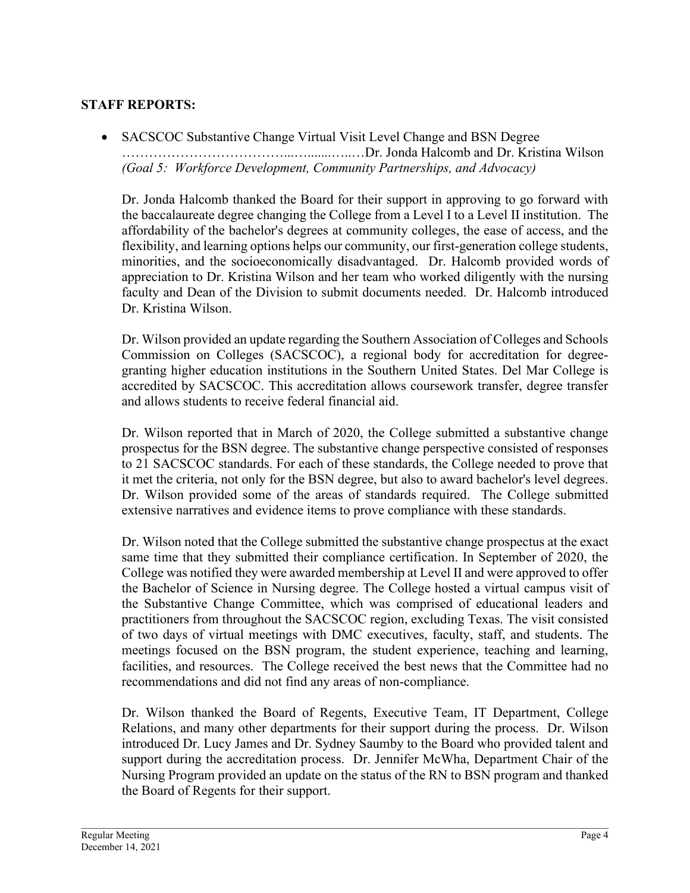# **STAFF REPORTS:**

• SACSCOC Substantive Change Virtual Visit Level Change and BSN Degree ………………………………...….......…..…Dr. Jonda Halcomb and Dr. Kristina Wilson *(Goal 5: Workforce Development, Community Partnerships, and Advocacy)*

Dr. Jonda Halcomb thanked the Board for their support in approving to go forward with the baccalaureate degree changing the College from a Level I to a Level II institution. The affordability of the bachelor's degrees at community colleges, the ease of access, and the flexibility, and learning options helps our community, our first-generation college students, minorities, and the socioeconomically disadvantaged. Dr. Halcomb provided words of appreciation to Dr. Kristina Wilson and her team who worked diligently with the nursing faculty and Dean of the Division to submit documents needed. Dr. Halcomb introduced Dr. Kristina Wilson.

Dr. Wilson provided an update regarding the Southern Association of Colleges and Schools Commission on Colleges (SACSCOC), a regional body for accreditation for degreegranting higher education institutions in the Southern United States. Del Mar College is accredited by SACSCOC. This accreditation allows coursework transfer, degree transfer and allows students to receive federal financial aid.

Dr. Wilson reported that in March of 2020, the College submitted a substantive change prospectus for the BSN degree. The substantive change perspective consisted of responses to 21 SACSCOC standards. For each of these standards, the College needed to prove that it met the criteria, not only for the BSN degree, but also to award bachelor's level degrees. Dr. Wilson provided some of the areas of standards required. The College submitted extensive narratives and evidence items to prove compliance with these standards.

Dr. Wilson noted that the College submitted the substantive change prospectus at the exact same time that they submitted their compliance certification. In September of 2020, the College was notified they were awarded membership at Level II and were approved to offer the Bachelor of Science in Nursing degree. The College hosted a virtual campus visit of the Substantive Change Committee, which was comprised of educational leaders and practitioners from throughout the SACSCOC region, excluding Texas. The visit consisted of two days of virtual meetings with DMC executives, faculty, staff, and students. The meetings focused on the BSN program, the student experience, teaching and learning, facilities, and resources. The College received the best news that the Committee had no recommendations and did not find any areas of non-compliance.

Dr. Wilson thanked the Board of Regents, Executive Team, IT Department, College Relations, and many other departments for their support during the process. Dr. Wilson introduced Dr. Lucy James and Dr. Sydney Saumby to the Board who provided talent and support during the accreditation process. Dr. Jennifer McWha, Department Chair of the Nursing Program provided an update on the status of the RN to BSN program and thanked the Board of Regents for their support.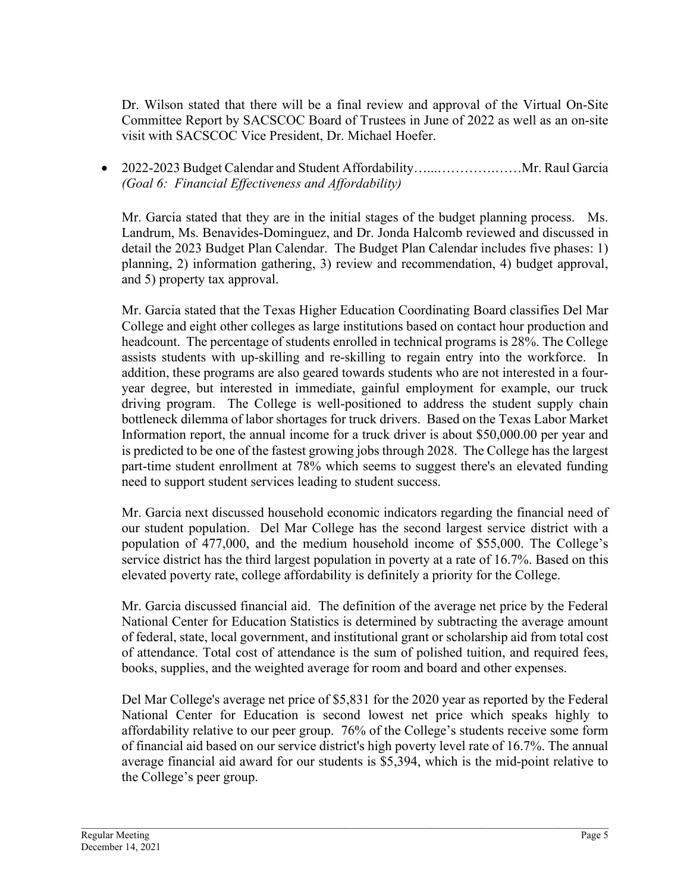Dr. Wilson stated that there will be a final review and approval of the Virtual On-Site Committee Report by SACSCOC Board of Trustees in June of 2022 as well as an on-site visit with SACSCOC Vice President, Dr. Michael Hoefer.

• 2022-2023 Budget Calendar and Student Affordability…...………….……Mr. Raul Garcia *(Goal 6: Financial Effectiveness and Affordability)*

Mr. Garcia stated that they are in the initial stages of the budget planning process. Ms. Landrum, Ms. Benavides-Dominguez, and Dr. Jonda Halcomb reviewed and discussed in detail the 2023 Budget Plan Calendar. The Budget Plan Calendar includes five phases: 1) planning, 2) information gathering, 3) review and recommendation, 4) budget approval, and 5) property tax approval.

Mr. Garcia stated that the Texas Higher Education Coordinating Board classifies Del Mar College and eight other colleges as large institutions based on contact hour production and headcount. The percentage of students enrolled in technical programs is 28%. The College assists students with up-skilling and re-skilling to regain entry into the workforce. In addition, these programs are also geared towards students who are not interested in a fouryear degree, but interested in immediate, gainful employment for example, our truck driving program. The College is well-positioned to address the student supply chain bottleneck dilemma of labor shortages for truck drivers. Based on the Texas Labor Market Information report, the annual income for a truck driver is about \$50,000.00 per year and is predicted to be one of the fastest growing jobs through 2028. The College has the largest part-time student enrollment at 78% which seems to suggest there's an elevated funding need to support student services leading to student success.

Mr. Garcia next discussed household economic indicators regarding the financial need of our student population. Del Mar College has the second largest service district with a population of 477,000, and the medium household income of \$55,000. The College's service district has the third largest population in poverty at a rate of 16.7%. Based on this elevated poverty rate, college affordability is definitely a priority for the College.

Mr. Garcia discussed financial aid. The definition of the average net price by the Federal National Center for Education Statistics is determined by subtracting the average amount of federal, state, local government, and institutional grant or scholarship aid from total cost of attendance. Total cost of attendance is the sum of polished tuition, and required fees, books, supplies, and the weighted average for room and board and other expenses.

Del Mar College's average net price of \$5,831 for the 2020 year as reported by the Federal National Center for Education is second lowest net price which speaks highly to affordability relative to our peer group. 76% of the College's students receive some form of financial aid based on our service district's high poverty level rate of 16.7%. The annual average financial aid award for our students is \$5,394, which is the mid-point relative to the College's peer group.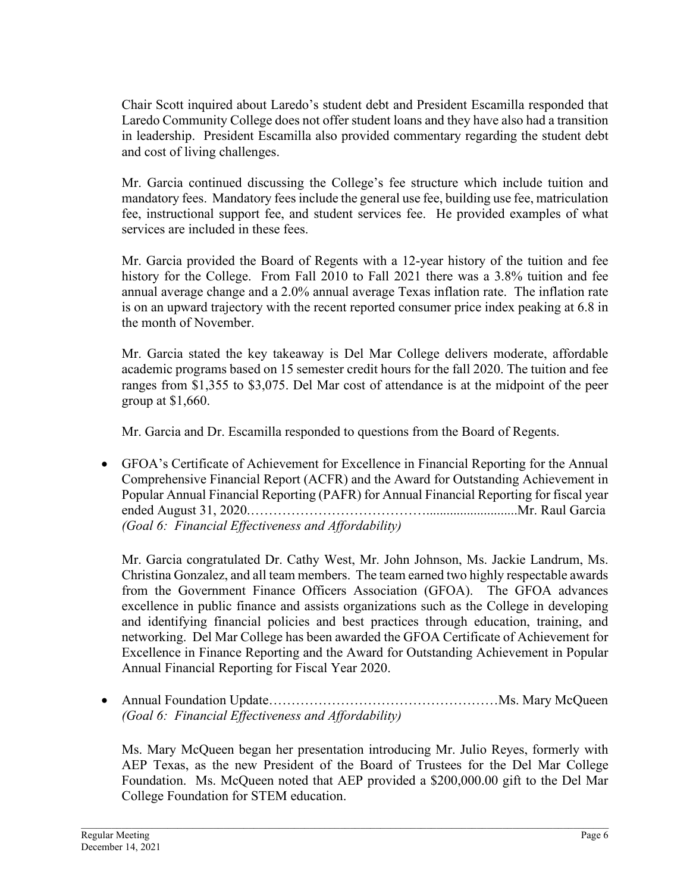Chair Scott inquired about Laredo's student debt and President Escamilla responded that Laredo Community College does not offer student loans and they have also had a transition in leadership. President Escamilla also provided commentary regarding the student debt and cost of living challenges.

Mr. Garcia continued discussing the College's fee structure which include tuition and mandatory fees. Mandatory fees include the general use fee, building use fee, matriculation fee, instructional support fee, and student services fee. He provided examples of what services are included in these fees.

Mr. Garcia provided the Board of Regents with a 12-year history of the tuition and fee history for the College. From Fall 2010 to Fall 2021 there was a 3.8% tuition and fee annual average change and a 2.0% annual average Texas inflation rate. The inflation rate is on an upward trajectory with the recent reported consumer price index peaking at 6.8 in the month of November.

Mr. Garcia stated the key takeaway is Del Mar College delivers moderate, affordable academic programs based on 15 semester credit hours for the fall 2020. The tuition and fee ranges from \$1,355 to \$3,075. Del Mar cost of attendance is at the midpoint of the peer group at \$1,660.

Mr. Garcia and Dr. Escamilla responded to questions from the Board of Regents.

• GFOA's Certificate of Achievement for Excellence in Financial Reporting for the Annual Comprehensive Financial Report (ACFR) and the Award for Outstanding Achievement in Popular Annual Financial Reporting (PAFR) for Annual Financial Reporting for fiscal year ended August 31, 2020.…………………………………...........................Mr. Raul Garcia *(Goal 6: Financial Effectiveness and Affordability)*

Mr. Garcia congratulated Dr. Cathy West, Mr. John Johnson, Ms. Jackie Landrum, Ms. Christina Gonzalez, and all team members. The team earned two highly respectable awards from the Government Finance Officers Association (GFOA). The GFOA advances excellence in public finance and assists organizations such as the College in developing and identifying financial policies and best practices through education, training, and networking. Del Mar College has been awarded the GFOA Certificate of Achievement for Excellence in Finance Reporting and the Award for Outstanding Achievement in Popular Annual Financial Reporting for Fiscal Year 2020.

• Annual Foundation Update……………………………………………Ms. Mary McQueen *(Goal 6: Financial Effectiveness and Affordability)*

Ms. Mary McQueen began her presentation introducing Mr. Julio Reyes, formerly with AEP Texas, as the new President of the Board of Trustees for the Del Mar College Foundation. Ms. McQueen noted that AEP provided a \$200,000.00 gift to the Del Mar College Foundation for STEM education.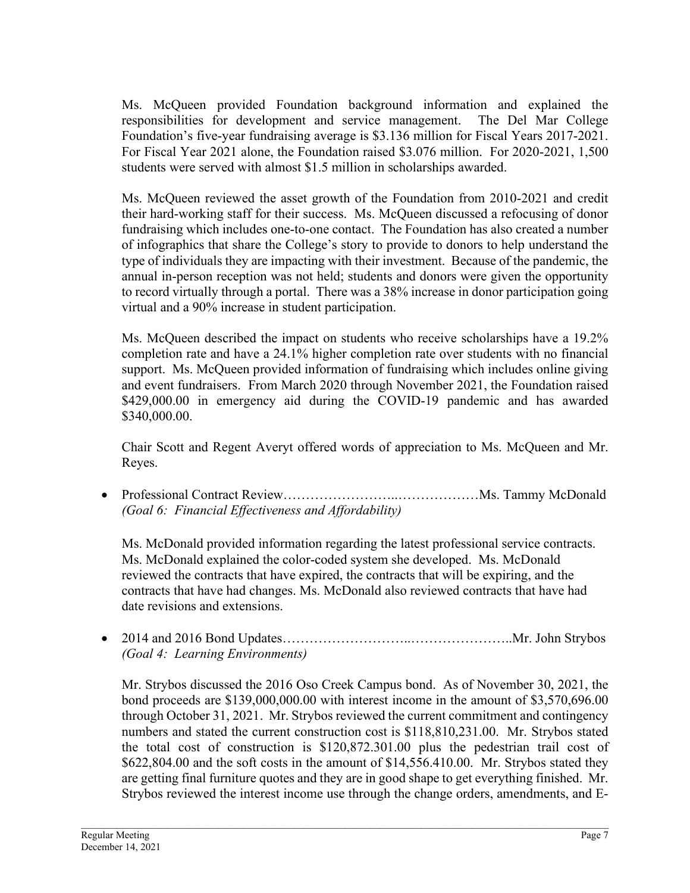Ms. McQueen provided Foundation background information and explained the responsibilities for development and service management. The Del Mar College Foundation's five-year fundraising average is \$3.136 million for Fiscal Years 2017-2021. For Fiscal Year 2021 alone, the Foundation raised \$3.076 million. For 2020-2021, 1,500 students were served with almost \$1.5 million in scholarships awarded.

Ms. McQueen reviewed the asset growth of the Foundation from 2010-2021 and credit their hard-working staff for their success. Ms. McQueen discussed a refocusing of donor fundraising which includes one-to-one contact. The Foundation has also created a number of infographics that share the College's story to provide to donors to help understand the type of individuals they are impacting with their investment. Because of the pandemic, the annual in-person reception was not held; students and donors were given the opportunity to record virtually through a portal. There was a 38% increase in donor participation going virtual and a 90% increase in student participation.

Ms. McQueen described the impact on students who receive scholarships have a 19.2% completion rate and have a 24.1% higher completion rate over students with no financial support. Ms. McQueen provided information of fundraising which includes online giving and event fundraisers. From March 2020 through November 2021, the Foundation raised \$429,000.00 in emergency aid during the COVID-19 pandemic and has awarded \$340,000.00.

Chair Scott and Regent Averyt offered words of appreciation to Ms. McQueen and Mr. Reyes.

• Professional Contract Review……………………..………………Ms. Tammy McDonald *(Goal 6: Financial Effectiveness and Affordability)*

Ms. McDonald provided information regarding the latest professional service contracts. Ms. McDonald explained the color-coded system she developed. Ms. McDonald reviewed the contracts that have expired, the contracts that will be expiring, and the contracts that have had changes. Ms. McDonald also reviewed contracts that have had date revisions and extensions.

• 2014 and 2016 Bond Updates………………………..…………………..Mr. John Strybos *(Goal 4: Learning Environments)*

Mr. Strybos discussed the 2016 Oso Creek Campus bond. As of November 30, 2021, the bond proceeds are \$139,000,000.00 with interest income in the amount of \$3,570,696.00 through October 31, 2021. Mr. Strybos reviewed the current commitment and contingency numbers and stated the current construction cost is \$118,810,231.00. Mr. Strybos stated the total cost of construction is \$120,872.301.00 plus the pedestrian trail cost of \$622,804.00 and the soft costs in the amount of \$14,556.410.00. Mr. Strybos stated they are getting final furniture quotes and they are in good shape to get everything finished. Mr. Strybos reviewed the interest income use through the change orders, amendments, and E-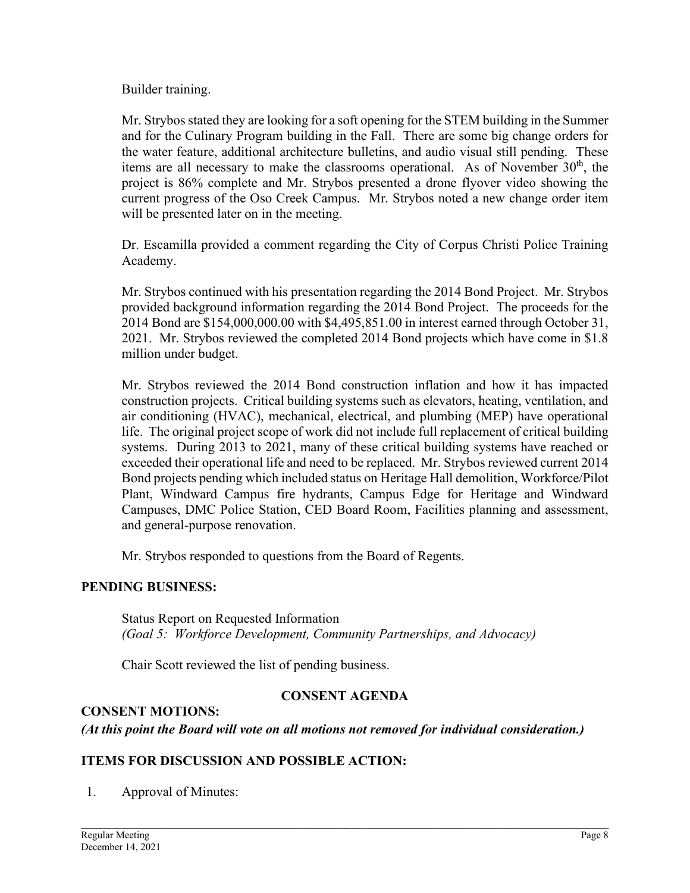Builder training.

Mr. Strybos stated they are looking for a soft opening for the STEM building in the Summer and for the Culinary Program building in the Fall. There are some big change orders for the water feature, additional architecture bulletins, and audio visual still pending. These items are all necessary to make the classrooms operational. As of November  $30<sup>th</sup>$ , the project is 86% complete and Mr. Strybos presented a drone flyover video showing the current progress of the Oso Creek Campus. Mr. Strybos noted a new change order item will be presented later on in the meeting.

Dr. Escamilla provided a comment regarding the City of Corpus Christi Police Training Academy.

Mr. Strybos continued with his presentation regarding the 2014 Bond Project. Mr. Strybos provided background information regarding the 2014 Bond Project. The proceeds for the 2014 Bond are \$154,000,000.00 with \$4,495,851.00 in interest earned through October 31, 2021. Mr. Strybos reviewed the completed 2014 Bond projects which have come in \$1.8 million under budget.

Mr. Strybos reviewed the 2014 Bond construction inflation and how it has impacted construction projects. Critical building systems such as elevators, heating, ventilation, and air conditioning (HVAC), mechanical, electrical, and plumbing (MEP) have operational life. The original project scope of work did not include full replacement of critical building systems. During 2013 to 2021, many of these critical building systems have reached or exceeded their operational life and need to be replaced. Mr. Strybos reviewed current 2014 Bond projects pending which included status on Heritage Hall demolition, Workforce/Pilot Plant, Windward Campus fire hydrants, Campus Edge for Heritage and Windward Campuses, DMC Police Station, CED Board Room, Facilities planning and assessment, and general-purpose renovation.

Mr. Strybos responded to questions from the Board of Regents.

## **PENDING BUSINESS:**

Status Report on Requested Information *(Goal 5: Workforce Development, Community Partnerships, and Advocacy)*

Chair Scott reviewed the list of pending business.

# **CONSENT AGENDA**

## **CONSENT MOTIONS:**

*(At this point the Board will vote on all motions not removed for individual consideration.)* 

## **ITEMS FOR DISCUSSION AND POSSIBLE ACTION:**

1. Approval of Minutes: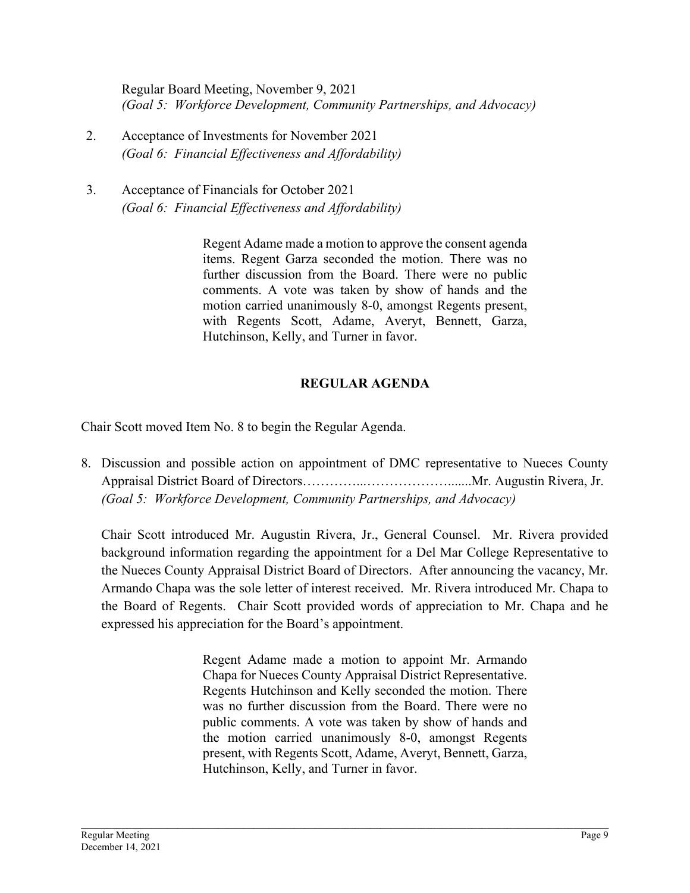Regular Board Meeting, November 9, 2021 *(Goal 5: Workforce Development, Community Partnerships, and Advocacy)*

- 2. Acceptance of Investments for November 2021 *(Goal 6: Financial Effectiveness and Affordability)*
- 3. Acceptance of Financials for October 2021 *(Goal 6: Financial Effectiveness and Affordability)*

Regent Adame made a motion to approve the consent agenda items. Regent Garza seconded the motion. There was no further discussion from the Board. There were no public comments. A vote was taken by show of hands and the motion carried unanimously 8-0, amongst Regents present, with Regents Scott, Adame, Averyt, Bennett, Garza, Hutchinson, Kelly, and Turner in favor.

## **REGULAR AGENDA**

Chair Scott moved Item No. 8 to begin the Regular Agenda.

8. Discussion and possible action on appointment of DMC representative to Nueces County Appraisal District Board of Directors…………...……………….......Mr. Augustin Rivera, Jr. *(Goal 5: Workforce Development, Community Partnerships, and Advocacy)*

Chair Scott introduced Mr. Augustin Rivera, Jr., General Counsel. Mr. Rivera provided background information regarding the appointment for a Del Mar College Representative to the Nueces County Appraisal District Board of Directors. After announcing the vacancy, Mr. Armando Chapa was the sole letter of interest received. Mr. Rivera introduced Mr. Chapa to the Board of Regents. Chair Scott provided words of appreciation to Mr. Chapa and he expressed his appreciation for the Board's appointment.

> Regent Adame made a motion to appoint Mr. Armando Chapa for Nueces County Appraisal District Representative. Regents Hutchinson and Kelly seconded the motion. There was no further discussion from the Board. There were no public comments. A vote was taken by show of hands and the motion carried unanimously 8-0, amongst Regents present, with Regents Scott, Adame, Averyt, Bennett, Garza, Hutchinson, Kelly, and Turner in favor.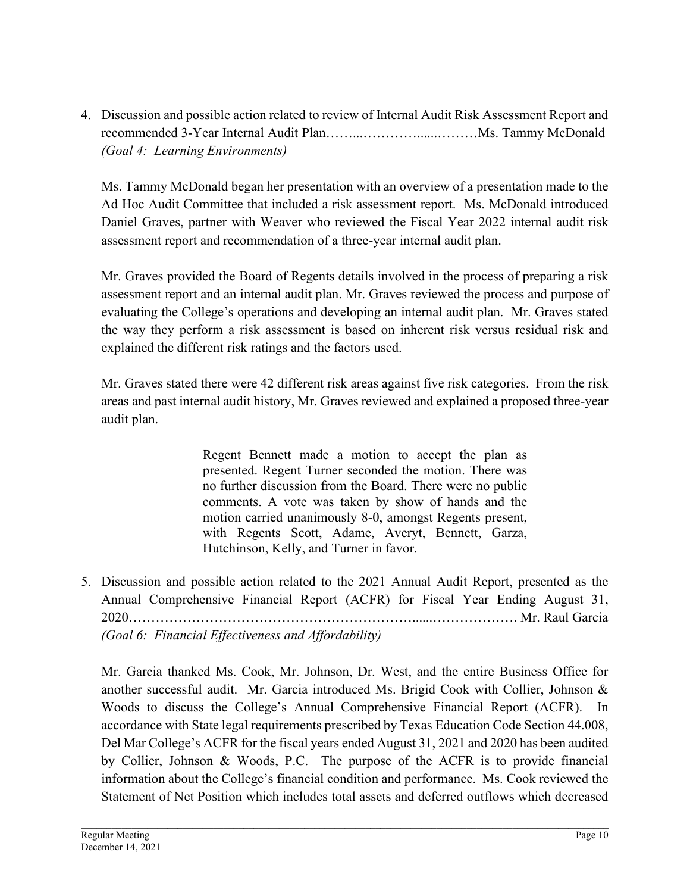4. Discussion and possible action related to review of Internal Audit Risk Assessment Report and recommended 3-Year Internal Audit Plan……...…………......………Ms. Tammy McDonald *(Goal 4: Learning Environments)*

Ms. Tammy McDonald began her presentation with an overview of a presentation made to the Ad Hoc Audit Committee that included a risk assessment report. Ms. McDonald introduced Daniel Graves, partner with Weaver who reviewed the Fiscal Year 2022 internal audit risk assessment report and recommendation of a three-year internal audit plan.

Mr. Graves provided the Board of Regents details involved in the process of preparing a risk assessment report and an internal audit plan. Mr. Graves reviewed the process and purpose of evaluating the College's operations and developing an internal audit plan. Mr. Graves stated the way they perform a risk assessment is based on inherent risk versus residual risk and explained the different risk ratings and the factors used.

Mr. Graves stated there were 42 different risk areas against five risk categories. From the risk areas and past internal audit history, Mr. Graves reviewed and explained a proposed three-year audit plan.

> Regent Bennett made a motion to accept the plan as presented. Regent Turner seconded the motion. There was no further discussion from the Board. There were no public comments. A vote was taken by show of hands and the motion carried unanimously 8-0, amongst Regents present, with Regents Scott, Adame, Averyt, Bennett, Garza, Hutchinson, Kelly, and Turner in favor.

5. Discussion and possible action related to the 2021 Annual Audit Report, presented as the Annual Comprehensive Financial Report (ACFR) for Fiscal Year Ending August 31, 2020………………………………………………………......………………. Mr. Raul Garcia *(Goal 6: Financial Effectiveness and Affordability)*

Mr. Garcia thanked Ms. Cook, Mr. Johnson, Dr. West, and the entire Business Office for another successful audit. Mr. Garcia introduced Ms. Brigid Cook with Collier, Johnson  $\&$ Woods to discuss the College's Annual Comprehensive Financial Report (ACFR). In accordance with State legal requirements prescribed by Texas Education Code Section 44.008, Del Mar College's ACFR for the fiscal years ended August 31, 2021 and 2020 has been audited by Collier, Johnson & Woods, P.C. The purpose of the ACFR is to provide financial information about the College's financial condition and performance. Ms. Cook reviewed the Statement of Net Position which includes total assets and deferred outflows which decreased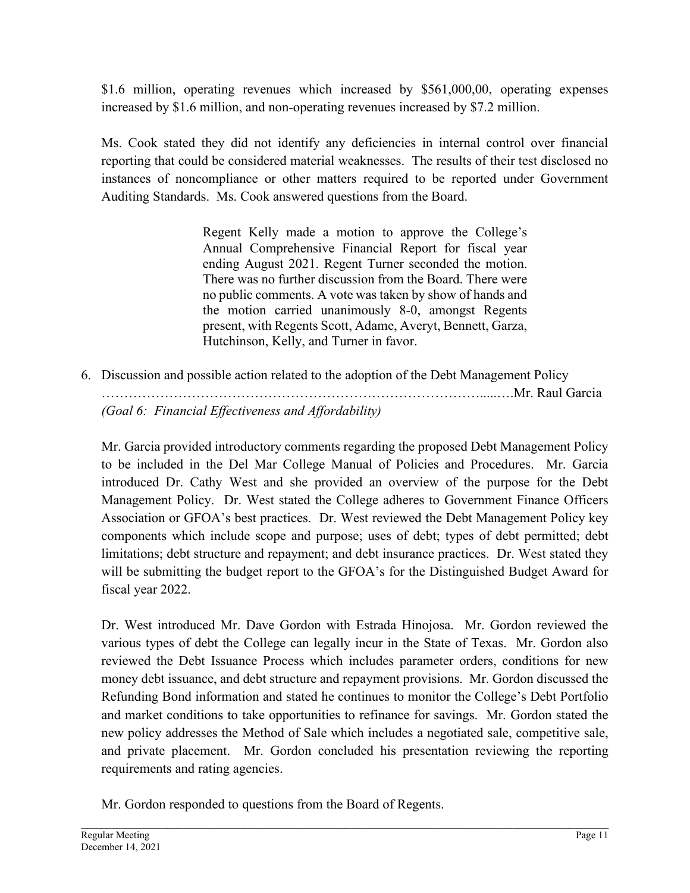\$1.6 million, operating revenues which increased by \$561,000,00, operating expenses increased by \$1.6 million, and non-operating revenues increased by \$7.2 million.

Ms. Cook stated they did not identify any deficiencies in internal control over financial reporting that could be considered material weaknesses. The results of their test disclosed no instances of noncompliance or other matters required to be reported under Government Auditing Standards. Ms. Cook answered questions from the Board.

> Regent Kelly made a motion to approve the College's Annual Comprehensive Financial Report for fiscal year ending August 2021. Regent Turner seconded the motion. There was no further discussion from the Board. There were no public comments. A vote was taken by show of hands and the motion carried unanimously 8-0, amongst Regents present, with Regents Scott, Adame, Averyt, Bennett, Garza, Hutchinson, Kelly, and Turner in favor.

6. Discussion and possible action related to the adoption of the Debt Management Policy ………………………………………………………………………….....….Mr. Raul Garcia *(Goal 6: Financial Effectiveness and Affordability)*

Mr. Garcia provided introductory comments regarding the proposed Debt Management Policy to be included in the Del Mar College Manual of Policies and Procedures. Mr. Garcia introduced Dr. Cathy West and she provided an overview of the purpose for the Debt Management Policy. Dr. West stated the College adheres to Government Finance Officers Association or GFOA's best practices. Dr. West reviewed the Debt Management Policy key components which include scope and purpose; uses of debt; types of debt permitted; debt limitations; debt structure and repayment; and debt insurance practices. Dr. West stated they will be submitting the budget report to the GFOA's for the Distinguished Budget Award for fiscal year 2022.

Dr. West introduced Mr. Dave Gordon with Estrada Hinojosa. Mr. Gordon reviewed the various types of debt the College can legally incur in the State of Texas. Mr. Gordon also reviewed the Debt Issuance Process which includes parameter orders, conditions for new money debt issuance, and debt structure and repayment provisions. Mr. Gordon discussed the Refunding Bond information and stated he continues to monitor the College's Debt Portfolio and market conditions to take opportunities to refinance for savings. Mr. Gordon stated the new policy addresses the Method of Sale which includes a negotiated sale, competitive sale, and private placement. Mr. Gordon concluded his presentation reviewing the reporting requirements and rating agencies.

Mr. Gordon responded to questions from the Board of Regents.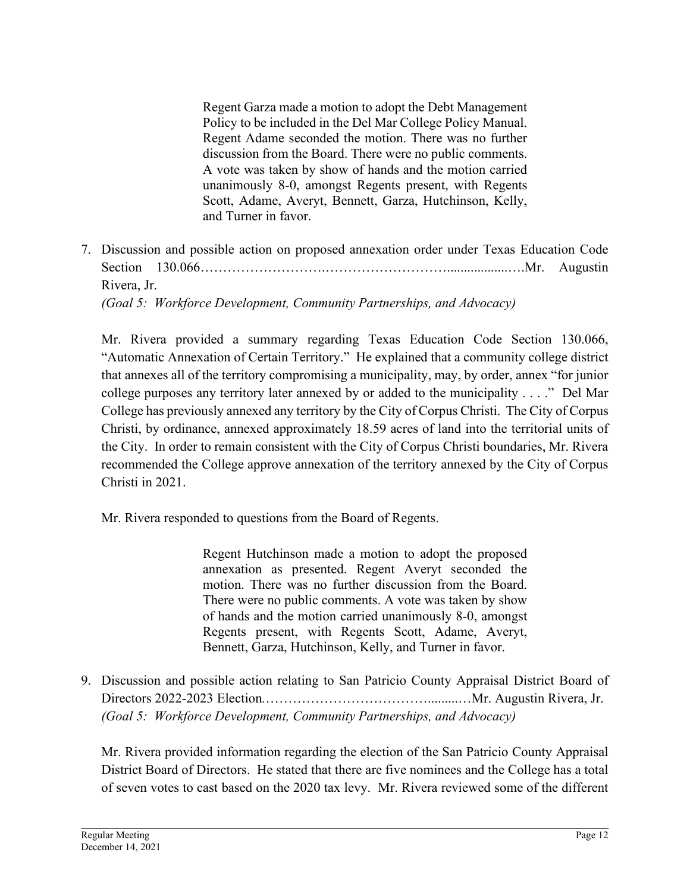Regent Garza made a motion to adopt the Debt Management Policy to be included in the Del Mar College Policy Manual. Regent Adame seconded the motion. There was no further discussion from the Board. There were no public comments. A vote was taken by show of hands and the motion carried unanimously 8-0, amongst Regents present, with Regents Scott, Adame, Averyt, Bennett, Garza, Hutchinson, Kelly, and Turner in favor.

7. Discussion and possible action on proposed annexation order under Texas Education Code Section 130.066……………………….………………………..................….Mr. Augustin Rivera, Jr. *(Goal 5: Workforce Development, Community Partnerships, and Advocacy)*

Mr. Rivera provided a summary regarding Texas Education Code Section 130.066, "Automatic Annexation of Certain Territory." He explained that a community college district that annexes all of the territory compromising a municipality, may, by order, annex "for junior college purposes any territory later annexed by or added to the municipality . . . ." Del Mar College has previously annexed any territory by the City of Corpus Christi. The City of Corpus Christi, by ordinance, annexed approximately 18.59 acres of land into the territorial units of the City. In order to remain consistent with the City of Corpus Christi boundaries, Mr. Rivera recommended the College approve annexation of the territory annexed by the City of Corpus Christi in 2021.

Mr. Rivera responded to questions from the Board of Regents.

Regent Hutchinson made a motion to adopt the proposed annexation as presented. Regent Averyt seconded the motion. There was no further discussion from the Board. There were no public comments. A vote was taken by show of hands and the motion carried unanimously 8-0, amongst Regents present, with Regents Scott, Adame, Averyt, Bennett, Garza, Hutchinson, Kelly, and Turner in favor.

9. Discussion and possible action relating to San Patricio County Appraisal District Board of Directors 2022-2023 Election*.*……………………………….........…Mr. Augustin Rivera, Jr. *(Goal 5: Workforce Development, Community Partnerships, and Advocacy)*

Mr. Rivera provided information regarding the election of the San Patricio County Appraisal District Board of Directors. He stated that there are five nominees and the College has a total of seven votes to cast based on the 2020 tax levy. Mr. Rivera reviewed some of the different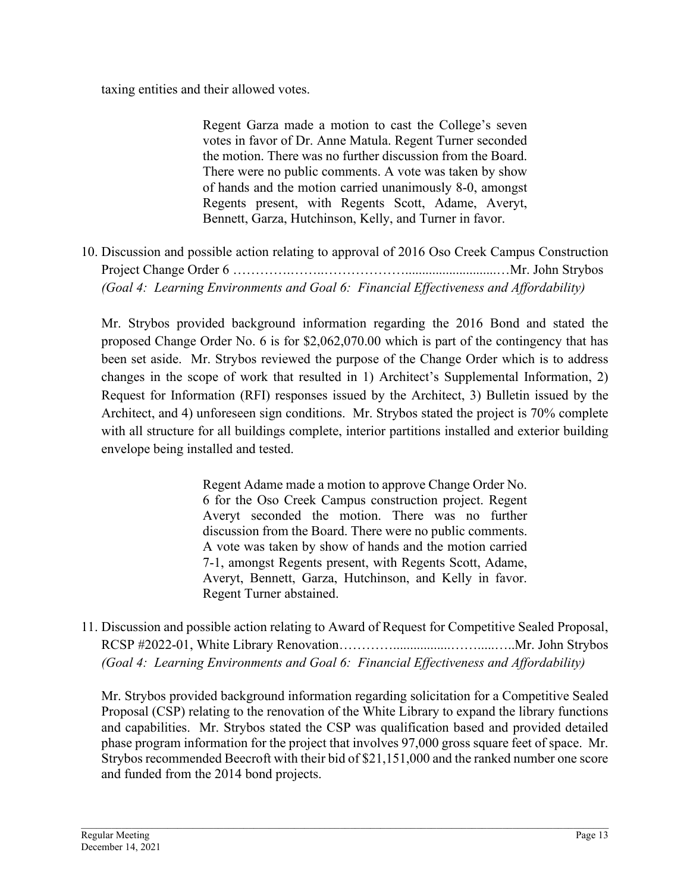taxing entities and their allowed votes.

Regent Garza made a motion to cast the College's seven votes in favor of Dr. Anne Matula. Regent Turner seconded the motion. There was no further discussion from the Board. There were no public comments. A vote was taken by show of hands and the motion carried unanimously 8-0, amongst Regents present, with Regents Scott, Adame, Averyt, Bennett, Garza, Hutchinson, Kelly, and Turner in favor.

10. Discussion and possible action relating to approval of 2016 Oso Creek Campus Construction Project Change Order 6 ………….……..………………...........................…Mr. John Strybos *(Goal 4: Learning Environments and Goal 6: Financial Effectiveness and Affordability)*

Mr. Strybos provided background information regarding the 2016 Bond and stated the proposed Change Order No. 6 is for \$2,062,070.00 which is part of the contingency that has been set aside. Mr. Strybos reviewed the purpose of the Change Order which is to address changes in the scope of work that resulted in 1) Architect's Supplemental Information, 2) Request for Information (RFI) responses issued by the Architect, 3) Bulletin issued by the Architect, and 4) unforeseen sign conditions. Mr. Strybos stated the project is 70% complete with all structure for all buildings complete, interior partitions installed and exterior building envelope being installed and tested.

> Regent Adame made a motion to approve Change Order No. 6 for the Oso Creek Campus construction project. Regent Averyt seconded the motion. There was no further discussion from the Board. There were no public comments. A vote was taken by show of hands and the motion carried 7-1, amongst Regents present, with Regents Scott, Adame, Averyt, Bennett, Garza, Hutchinson, and Kelly in favor. Regent Turner abstained.

11. Discussion and possible action relating to Award of Request for Competitive Sealed Proposal, RCSP #2022-01, White Library Renovation………………………………………………………Mr. John Strybos *(Goal 4: Learning Environments and Goal 6: Financial Effectiveness and Affordability)*

Mr. Strybos provided background information regarding solicitation for a Competitive Sealed Proposal (CSP) relating to the renovation of the White Library to expand the library functions and capabilities. Mr. Strybos stated the CSP was qualification based and provided detailed phase program information for the project that involves 97,000 gross square feet of space. Mr. Strybos recommended Beecroft with their bid of \$21,151,000 and the ranked number one score and funded from the 2014 bond projects.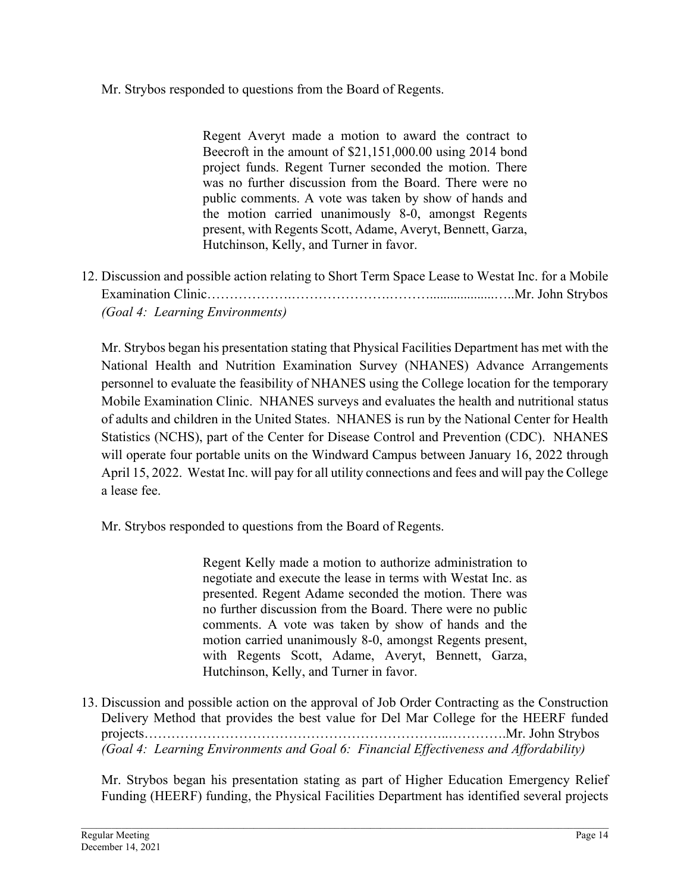Mr. Strybos responded to questions from the Board of Regents.

Regent Averyt made a motion to award the contract to Beecroft in the amount of \$21,151,000.00 using 2014 bond project funds. Regent Turner seconded the motion. There was no further discussion from the Board. There were no public comments. A vote was taken by show of hands and the motion carried unanimously 8-0, amongst Regents present, with Regents Scott, Adame, Averyt, Bennett, Garza, Hutchinson, Kelly, and Turner in favor.

12. Discussion and possible action relating to Short Term Space Lease to Westat Inc. for a Mobile Examination Clinic…………………………………………………………………………Mr. John Strybos *(Goal 4: Learning Environments)*

Mr. Strybos began his presentation stating that Physical Facilities Department has met with the National Health and Nutrition Examination Survey (NHANES) Advance Arrangements personnel to evaluate the feasibility of NHANES using the College location for the temporary Mobile Examination Clinic. NHANES surveys and evaluates the health and nutritional status of adults and children in the United States. NHANES is run by the National Center for Health Statistics (NCHS), part of the Center for Disease Control and Prevention (CDC). NHANES will operate four portable units on the Windward Campus between January 16, 2022 through April 15, 2022. Westat Inc. will pay for all utility connections and fees and will pay the College a lease fee.

Mr. Strybos responded to questions from the Board of Regents.

Regent Kelly made a motion to authorize administration to negotiate and execute the lease in terms with Westat Inc. as presented. Regent Adame seconded the motion. There was no further discussion from the Board. There were no public comments. A vote was taken by show of hands and the motion carried unanimously 8-0, amongst Regents present, with Regents Scott, Adame, Averyt, Bennett, Garza, Hutchinson, Kelly, and Turner in favor.

13. Discussion and possible action on the approval of Job Order Contracting as the Construction Delivery Method that provides the best value for Del Mar College for the HEERF funded projects…………………………………………………………..………….Mr. John Strybos *(Goal 4: Learning Environments and Goal 6: Financial Effectiveness and Affordability)*

Mr. Strybos began his presentation stating as part of Higher Education Emergency Relief Funding (HEERF) funding, the Physical Facilities Department has identified several projects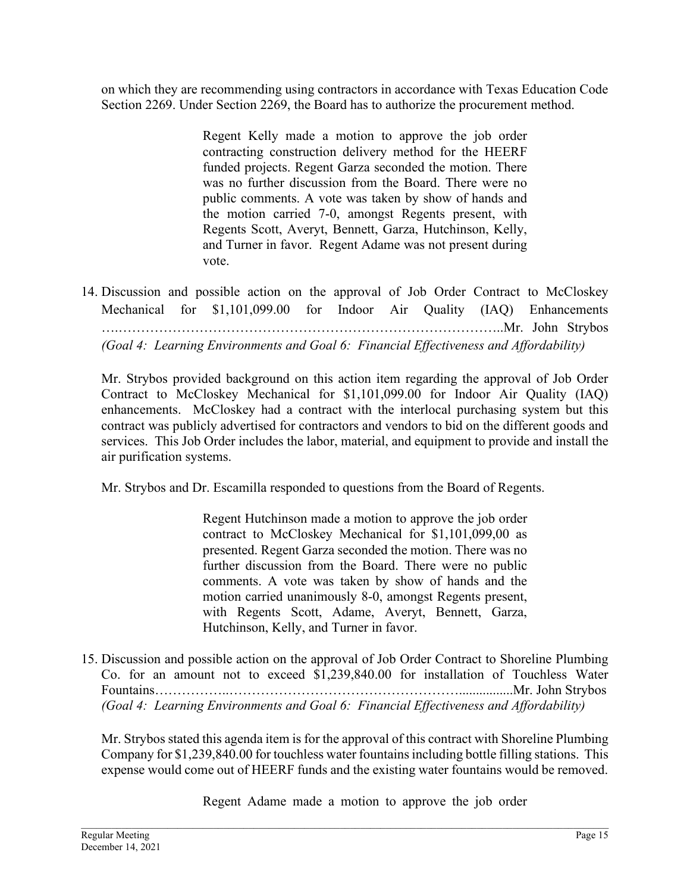on which they are recommending using contractors in accordance with Texas Education Code Section 2269. Under Section 2269, the Board has to authorize the procurement method.

> Regent Kelly made a motion to approve the job order contracting construction delivery method for the HEERF funded projects. Regent Garza seconded the motion. There was no further discussion from the Board. There were no public comments. A vote was taken by show of hands and the motion carried 7-0, amongst Regents present, with Regents Scott, Averyt, Bennett, Garza, Hutchinson, Kelly, and Turner in favor. Regent Adame was not present during vote.

14. Discussion and possible action on the approval of Job Order Contract to McCloskey Mechanical for \$1,101,099.00 for Indoor Air Quality (IAQ) Enhancements ….…………………………………………………………………………..Mr. John Strybos *(Goal 4: Learning Environments and Goal 6: Financial Effectiveness and Affordability)*

Mr. Strybos provided background on this action item regarding the approval of Job Order Contract to McCloskey Mechanical for \$1,101,099.00 for Indoor Air Quality (IAQ) enhancements. McCloskey had a contract with the interlocal purchasing system but this contract was publicly advertised for contractors and vendors to bid on the different goods and services. This Job Order includes the labor, material, and equipment to provide and install the air purification systems.

Mr. Strybos and Dr. Escamilla responded to questions from the Board of Regents.

Regent Hutchinson made a motion to approve the job order contract to McCloskey Mechanical for \$1,101,099,00 as presented. Regent Garza seconded the motion. There was no further discussion from the Board. There were no public comments. A vote was taken by show of hands and the motion carried unanimously 8-0, amongst Regents present, with Regents Scott, Adame, Averyt, Bennett, Garza, Hutchinson, Kelly, and Turner in favor.

15. Discussion and possible action on the approval of Job Order Contract to Shoreline Plumbing Co. for an amount not to exceed \$1,239,840.00 for installation of Touchless Water Fountains……………..……………………………………………................Mr. John Strybos *(Goal 4: Learning Environments and Goal 6: Financial Effectiveness and Affordability)*

Mr. Strybos stated this agenda item is for the approval of this contract with Shoreline Plumbing Company for \$1,239,840.00 for touchless water fountains including bottle filling stations. This expense would come out of HEERF funds and the existing water fountains would be removed.

Regent Adame made a motion to approve the job order